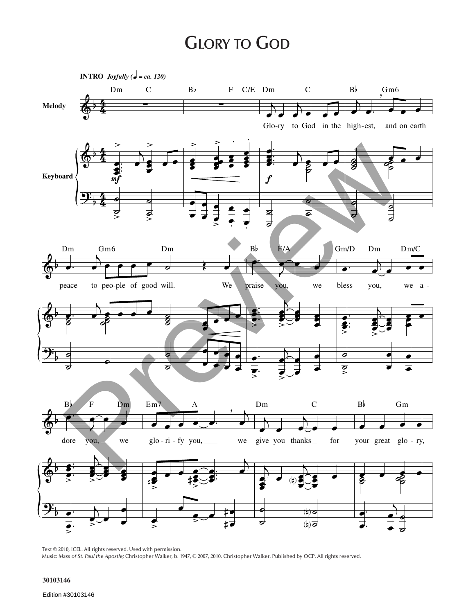## **GLORY TO GOD**



Text © 2010, ICEL. All rights reserved. Used with permission. Music: *Mass of St. Paul the Apostle;* Christopher Walker, b. 1947, © 2007, 2010, Christopher Walker. Published by OCP. All rights reserved.

## **30103146**

Edition #30103146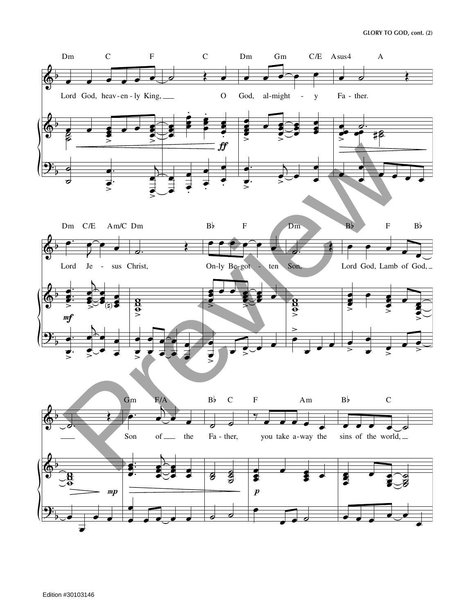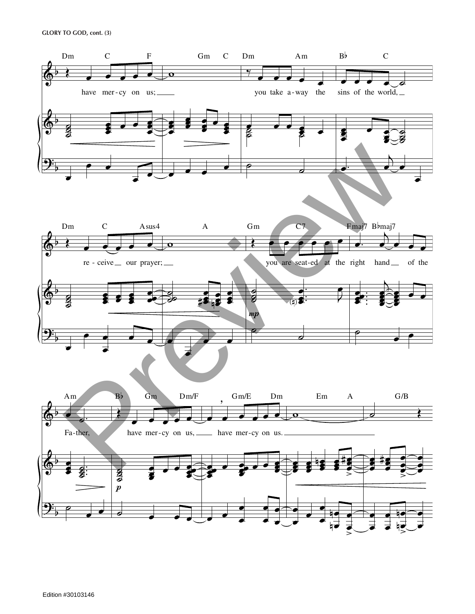

Edition #30103146